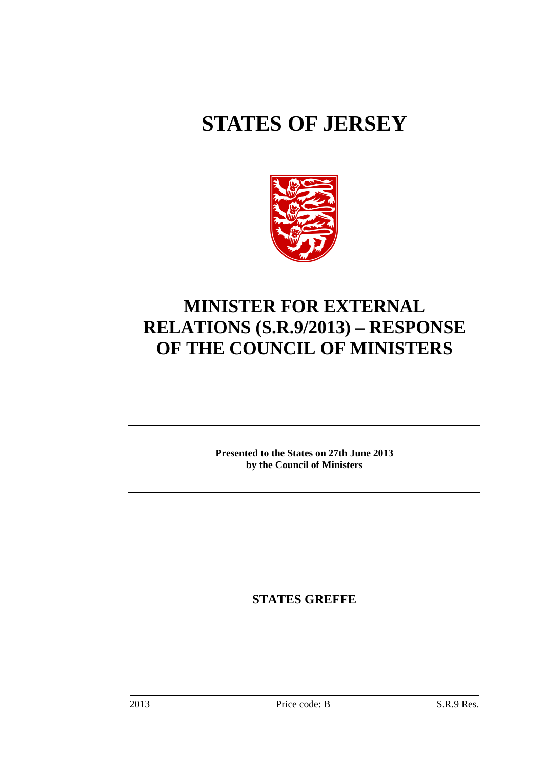# **STATES OF JERSEY**



## **MINISTER FOR EXTERNAL RELATIONS (S.R.9/2013) – RESPONSE OF THE COUNCIL OF MINISTERS**

**Presented to the States on 27th June 2013 by the Council of Ministers**

**STATES GREFFE**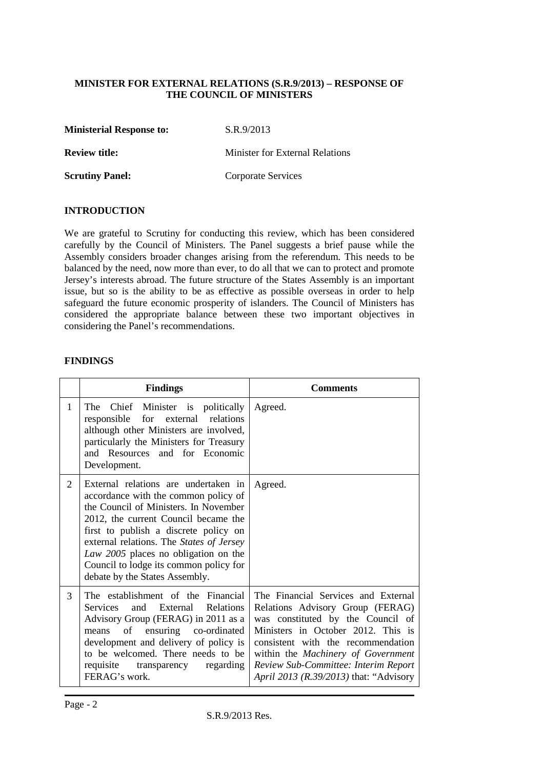#### **MINISTER FOR EXTERNAL RELATIONS (S.R.9/2013) – RESPONSE OF THE COUNCIL OF MINISTERS**

**Ministerial Response to:** S.R.9/2013

**Review title:** Minister for External Relations

**Scrutiny Panel:** Corporate Services

#### **INTRODUCTION**

We are grateful to Scrutiny for conducting this review, which has been considered carefully by the Council of Ministers. The Panel suggests a brief pause while the Assembly considers broader changes arising from the referendum. This needs to be balanced by the need, now more than ever, to do all that we can to protect and promote Jersey's interests abroad. The future structure of the States Assembly is an important issue, but so is the ability to be as effective as possible overseas in order to help safeguard the future economic prosperity of islanders. The Council of Ministers has considered the appropriate balance between these two important objectives in considering the Panel's recommendations.

#### **FINDINGS**

|                | <b>Findings</b>                                                                                                                                                                                                                                                                                                                                                        | <b>Comments</b>                                                                                                                                                                                                                                                                                                  |  |  |
|----------------|------------------------------------------------------------------------------------------------------------------------------------------------------------------------------------------------------------------------------------------------------------------------------------------------------------------------------------------------------------------------|------------------------------------------------------------------------------------------------------------------------------------------------------------------------------------------------------------------------------------------------------------------------------------------------------------------|--|--|
| 1              | Chief Minister is politically<br>The<br>responsible for external relations<br>although other Ministers are involved,<br>particularly the Ministers for Treasury<br>and Resources and for Economic<br>Development.                                                                                                                                                      | Agreed.                                                                                                                                                                                                                                                                                                          |  |  |
| $\overline{2}$ | External relations are undertaken in<br>accordance with the common policy of<br>the Council of Ministers. In November<br>2012, the current Council became the<br>first to publish a discrete policy on<br>external relations. The States of Jersey<br>Law 2005 places no obligation on the<br>Council to lodge its common policy for<br>debate by the States Assembly. | Agreed.                                                                                                                                                                                                                                                                                                          |  |  |
| 3              | The establishment of the Financial<br>and External Relations<br><b>Services</b><br>Advisory Group (FERAG) in 2011 as a<br>of<br>ensuring co-ordinated<br>means<br>development and delivery of policy is<br>to be welcomed. There needs to be<br>requisite transparency<br>regarding<br>FERAG's work.                                                                   | The Financial Services and External<br>Relations Advisory Group (FERAG)<br>was constituted by the Council of<br>Ministers in October 2012. This is<br>consistent with the recommendation<br>within the Machinery of Government<br>Review Sub-Committee: Interim Report<br>April 2013 (R.39/2013) that: "Advisory |  |  |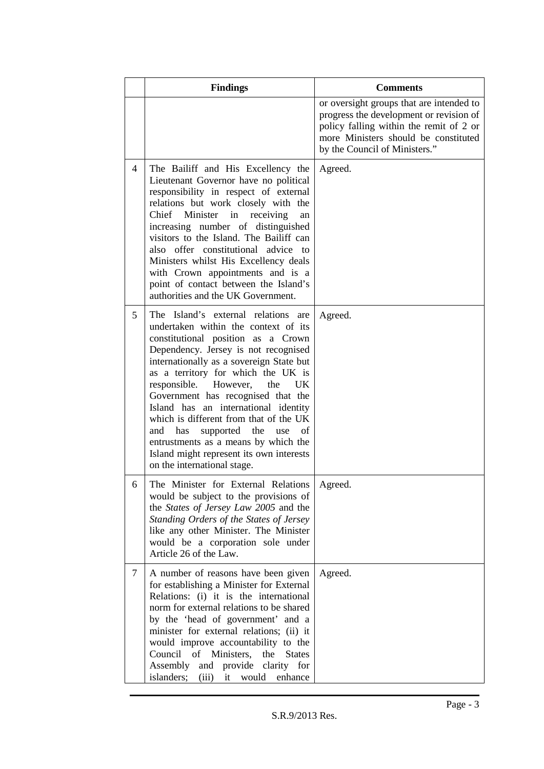|                | <b>Findings</b>                                                                                                                                                                                                                                                                                                                                                                                                                                                                                                                                                           | <b>Comments</b>                                                                                                                                                                                         |
|----------------|---------------------------------------------------------------------------------------------------------------------------------------------------------------------------------------------------------------------------------------------------------------------------------------------------------------------------------------------------------------------------------------------------------------------------------------------------------------------------------------------------------------------------------------------------------------------------|---------------------------------------------------------------------------------------------------------------------------------------------------------------------------------------------------------|
|                |                                                                                                                                                                                                                                                                                                                                                                                                                                                                                                                                                                           | or oversight groups that are intended to<br>progress the development or revision of<br>policy falling within the remit of 2 or<br>more Ministers should be constituted<br>by the Council of Ministers." |
| $\overline{4}$ | The Bailiff and His Excellency the<br>Lieutenant Governor have no political<br>responsibility in respect of external<br>relations but work closely with the<br>Chief Minister in receiving<br>an<br>increasing number of distinguished<br>visitors to the Island. The Bailiff can<br>also offer constitutional advice to<br>Ministers whilst His Excellency deals<br>with Crown appointments and is a<br>point of contact between the Island's<br>authorities and the UK Government.                                                                                      | Agreed.                                                                                                                                                                                                 |
| 5              | The Island's external relations are<br>undertaken within the context of its<br>constitutional position as a Crown<br>Dependency. Jersey is not recognised<br>internationally as a sovereign State but<br>as a territory for which the UK is<br>responsible. However,<br>the<br>UK.<br>Government has recognised that the<br>Island has an international identity<br>which is different from that of the UK<br>has<br>supported the<br>of<br>and<br>use<br>entrustments as a means by which the<br>Island might represent its own interests<br>on the international stage. | Agreed.                                                                                                                                                                                                 |
| 6              | The Minister for External Relations<br>would be subject to the provisions of<br>the States of Jersey Law 2005 and the<br>Standing Orders of the States of Jersey<br>like any other Minister. The Minister<br>would be a corporation sole under<br>Article 26 of the Law.                                                                                                                                                                                                                                                                                                  | Agreed.                                                                                                                                                                                                 |
| 7              | A number of reasons have been given<br>for establishing a Minister for External<br>Relations: (i) it is the international<br>norm for external relations to be shared<br>by the 'head of government' and a<br>minister for external relations; (ii) it<br>would improve accountability to the<br>Council of Ministers, the<br><b>States</b><br>Assembly<br>and provide clarity for<br>islanders;<br>(iii)<br>it would enhance                                                                                                                                             | Agreed.                                                                                                                                                                                                 |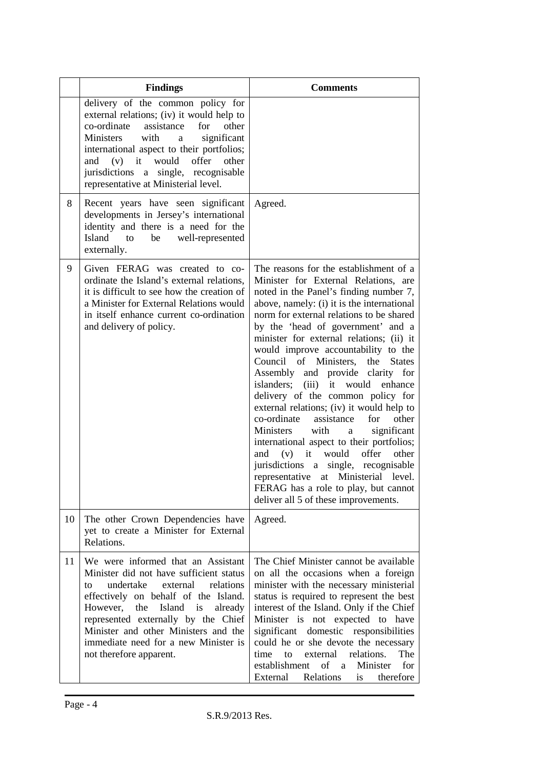|    | <b>Findings</b>                                                                                                                                                                                                                                                                                                                                                   | <b>Comments</b>                                                                                                                                                                                                                                                                                                                                                                                                                                                                                                                                                                                                                                                                                                                                                                                                                                                                                                |
|----|-------------------------------------------------------------------------------------------------------------------------------------------------------------------------------------------------------------------------------------------------------------------------------------------------------------------------------------------------------------------|----------------------------------------------------------------------------------------------------------------------------------------------------------------------------------------------------------------------------------------------------------------------------------------------------------------------------------------------------------------------------------------------------------------------------------------------------------------------------------------------------------------------------------------------------------------------------------------------------------------------------------------------------------------------------------------------------------------------------------------------------------------------------------------------------------------------------------------------------------------------------------------------------------------|
|    | delivery of the common policy for<br>external relations; (iv) it would help to<br>co-ordinate assistance<br>for<br>other<br>Ministers<br>with<br>significant<br>a<br>international aspect to their portfolios;<br>$(v)$ it<br>would offer<br>other<br>and<br>jurisdictions a single, recognisable<br>representative at Ministerial level.                         |                                                                                                                                                                                                                                                                                                                                                                                                                                                                                                                                                                                                                                                                                                                                                                                                                                                                                                                |
| 8  | Recent years have seen significant<br>developments in Jersey's international<br>identity and there is a need for the<br>Island<br>to<br>be<br>well-represented<br>externally.                                                                                                                                                                                     | Agreed.                                                                                                                                                                                                                                                                                                                                                                                                                                                                                                                                                                                                                                                                                                                                                                                                                                                                                                        |
| 9  | Given FERAG was created to co-<br>ordinate the Island's external relations,<br>it is difficult to see how the creation of<br>a Minister for External Relations would<br>in itself enhance current co-ordination<br>and delivery of policy.                                                                                                                        | The reasons for the establishment of a<br>Minister for External Relations, are<br>noted in the Panel's finding number 7,<br>above, namely: (i) it is the international<br>norm for external relations to be shared<br>by the 'head of government' and a<br>minister for external relations; (ii) it<br>would improve accountability to the<br>Council of Ministers,<br>the<br><b>States</b><br>Assembly and provide clarity for<br>islanders; (iii)<br>it would enhance<br>delivery of the common policy for<br>external relations; (iv) it would help to<br>co-ordinate<br>assistance<br>other<br>for<br>Ministers<br>significant<br>with<br>a<br>international aspect to their portfolios;<br>would<br>offer<br>it<br>other<br>(v)<br>and<br>jurisdictions a single, recognisable<br>at Ministerial level.<br>representative<br>FERAG has a role to play, but cannot<br>deliver all 5 of these improvements. |
| 10 | The other Crown Dependencies have<br>yet to create a Minister for External<br>Relations.                                                                                                                                                                                                                                                                          | Agreed.                                                                                                                                                                                                                                                                                                                                                                                                                                                                                                                                                                                                                                                                                                                                                                                                                                                                                                        |
| 11 | We were informed that an Assistant<br>Minister did not have sufficient status<br>undertake<br>relations<br>external<br>to<br>effectively on behalf of the Island.<br>However,<br>the<br>Island<br>is<br>already<br>represented externally by the Chief<br>Minister and other Ministers and the<br>immediate need for a new Minister is<br>not therefore apparent. | The Chief Minister cannot be available<br>on all the occasions when a foreign<br>minister with the necessary ministerial<br>status is required to represent the best<br>interest of the Island. Only if the Chief<br>Minister is not expected to have<br>significant domestic responsibilities<br>could he or she devote the necessary<br>relations.<br>The<br>time<br>to<br>external<br>establishment<br>of<br>Minister<br>for<br>a a<br>External<br>Relations<br>therefore<br>is                                                                                                                                                                                                                                                                                                                                                                                                                             |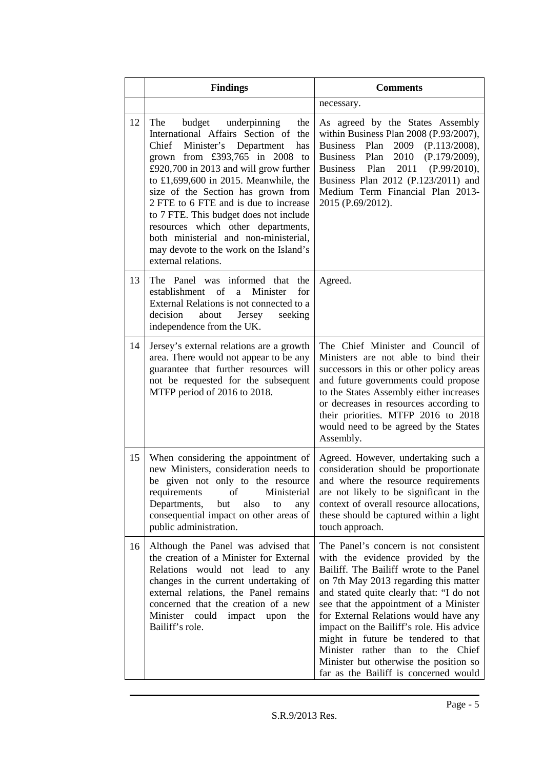|    | <b>Findings</b>                                                                                                                                                                                                                                                                                                                                                                                                                                                                                                  | <b>Comments</b>                                                                                                                                                                                                                                                                                                                                                                                                                                                                                          |  |  |
|----|------------------------------------------------------------------------------------------------------------------------------------------------------------------------------------------------------------------------------------------------------------------------------------------------------------------------------------------------------------------------------------------------------------------------------------------------------------------------------------------------------------------|----------------------------------------------------------------------------------------------------------------------------------------------------------------------------------------------------------------------------------------------------------------------------------------------------------------------------------------------------------------------------------------------------------------------------------------------------------------------------------------------------------|--|--|
|    |                                                                                                                                                                                                                                                                                                                                                                                                                                                                                                                  | necessary.                                                                                                                                                                                                                                                                                                                                                                                                                                                                                               |  |  |
| 12 | The<br>budget underpinning<br>the<br>International Affairs Section of the<br>Chief Minister's Department<br>has<br>grown from £393,765 in 2008<br>to<br>£920,700 in 2013 and will grow further<br>to £1,699,600 in 2015. Meanwhile, the<br>size of the Section has grown from<br>2 FTE to 6 FTE and is due to increase<br>to 7 FTE. This budget does not include<br>resources which other departments,<br>both ministerial and non-ministerial,<br>may devote to the work on the Island's<br>external relations. | As agreed by the States Assembly<br>within Business Plan 2008 (P.93/2007),<br><b>Business</b><br>Plan<br>2009<br>(P.113/2008),<br>2010<br><b>Business</b><br>Plan<br>(P.179/2009),<br>Plan<br>2011<br>(P.99/2010),<br><b>Business</b><br>Business Plan 2012 (P.123/2011) and<br>Medium Term Financial Plan 2013-<br>2015 (P.69/2012).                                                                                                                                                                    |  |  |
| 13 | The Panel was informed that<br>the<br>establishment of<br>Minister<br>a<br>for<br>External Relations is not connected to a<br>decision<br>about<br>Jersey<br>seeking<br>independence from the UK.                                                                                                                                                                                                                                                                                                                | Agreed.                                                                                                                                                                                                                                                                                                                                                                                                                                                                                                  |  |  |
| 14 | Jersey's external relations are a growth<br>area. There would not appear to be any<br>guarantee that further resources will<br>not be requested for the subsequent<br>MTFP period of 2016 to 2018.                                                                                                                                                                                                                                                                                                               | The Chief Minister and Council of<br>Ministers are not able to bind their<br>successors in this or other policy areas<br>and future governments could propose<br>to the States Assembly either increases<br>or decreases in resources according to<br>their priorities. MTFP 2016 to 2018<br>would need to be agreed by the States<br>Assembly.                                                                                                                                                          |  |  |
| 15 | When considering the appointment of<br>new Ministers, consideration needs to<br>be given not only to the resource<br>Ministerial<br>of<br>requirements<br>Departments,<br>but<br>also<br>to<br>any<br>consequential impact on other areas of<br>public administration.                                                                                                                                                                                                                                           | Agreed. However, undertaking such a<br>consideration should be proportionate<br>and where the resource requirements<br>are not likely to be significant in the<br>context of overall resource allocations,<br>these should be captured within a light<br>touch approach.                                                                                                                                                                                                                                 |  |  |
| 16 | Although the Panel was advised that<br>the creation of a Minister for External<br>Relations would not lead to<br>any<br>changes in the current undertaking of<br>external relations, the Panel remains<br>concerned that the creation of a new<br>Minister could impact upon<br>the<br>Bailiff's role.                                                                                                                                                                                                           | The Panel's concern is not consistent<br>with the evidence provided by the<br>Bailiff. The Bailiff wrote to the Panel<br>on 7th May 2013 regarding this matter<br>and stated quite clearly that: "I do not<br>see that the appointment of a Minister<br>for External Relations would have any<br>impact on the Bailiff's role. His advice<br>might in future be tendered to that<br>Minister rather than to the Chief<br>Minister but otherwise the position so<br>far as the Bailiff is concerned would |  |  |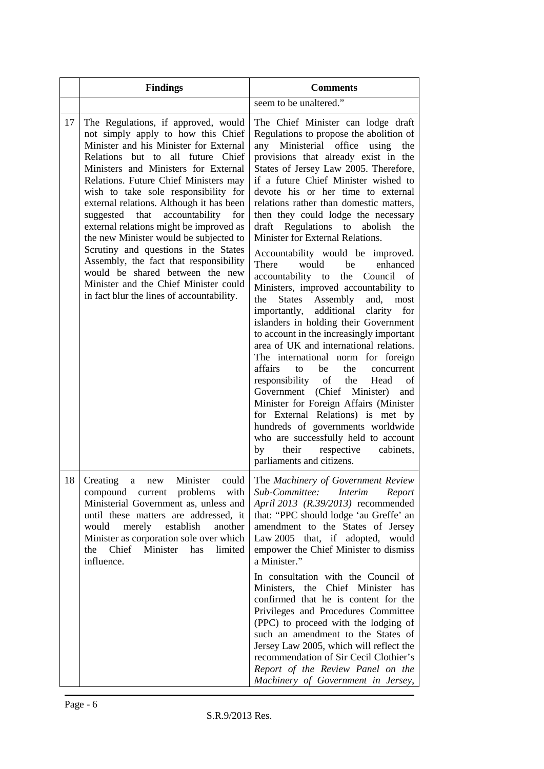|    | <b>Findings</b>                                                                                                                                                                                                                                                                                                                                                                                                                                                                                                                                                                                                                                                       | <b>Comments</b>                                                                                                                                                                                                                                                                                                                                                                                                                                                                                                                                                                                                                                                                                                                                                                                                                                                                                                                                                                                                                                                                                                                                                                                                                                    |  |  |
|----|-----------------------------------------------------------------------------------------------------------------------------------------------------------------------------------------------------------------------------------------------------------------------------------------------------------------------------------------------------------------------------------------------------------------------------------------------------------------------------------------------------------------------------------------------------------------------------------------------------------------------------------------------------------------------|----------------------------------------------------------------------------------------------------------------------------------------------------------------------------------------------------------------------------------------------------------------------------------------------------------------------------------------------------------------------------------------------------------------------------------------------------------------------------------------------------------------------------------------------------------------------------------------------------------------------------------------------------------------------------------------------------------------------------------------------------------------------------------------------------------------------------------------------------------------------------------------------------------------------------------------------------------------------------------------------------------------------------------------------------------------------------------------------------------------------------------------------------------------------------------------------------------------------------------------------------|--|--|
|    |                                                                                                                                                                                                                                                                                                                                                                                                                                                                                                                                                                                                                                                                       | seem to be unaltered."                                                                                                                                                                                                                                                                                                                                                                                                                                                                                                                                                                                                                                                                                                                                                                                                                                                                                                                                                                                                                                                                                                                                                                                                                             |  |  |
| 17 | The Regulations, if approved, would<br>not simply apply to how this Chief<br>Minister and his Minister for External<br>Relations but to all future Chief<br>Ministers and Ministers for External<br>Relations. Future Chief Ministers may<br>wish to take sole responsibility for<br>external relations. Although it has been<br>suggested that<br>accountability for<br>external relations might be improved as<br>the new Minister would be subjected to<br>Scrutiny and questions in the States<br>Assembly, the fact that responsibility<br>would be shared between the new<br>Minister and the Chief Minister could<br>in fact blur the lines of accountability. | The Chief Minister can lodge draft<br>Regulations to propose the abolition of<br>any Ministerial office using<br>the<br>provisions that already exist in the<br>States of Jersey Law 2005. Therefore,<br>if a future Chief Minister wished to<br>devote his or her time to external<br>relations rather than domestic matters,<br>then they could lodge the necessary<br>draft Regulations to<br>abolish<br>the<br>Minister for External Relations.<br>Accountability would be improved.<br>There<br>would<br>be<br>enhanced<br>accountability to<br>the<br>Council of<br>Ministers, improved accountability to<br><b>States</b><br>Assembly<br>and,<br>most<br>the<br>additional<br>clarity<br>importantly,<br>for<br>islanders in holding their Government<br>to account in the increasingly important<br>area of UK and international relations.<br>The international norm for foreign<br>affairs<br>be<br>the<br>to<br>concurrent<br>responsibility of the Head<br>of<br>Government (Chief Minister)<br>and<br>Minister for Foreign Affairs (Minister<br>for External Relations) is met by<br>hundreds of governments worldwide<br>who are successfully held to account<br>respective<br>cabinets,<br>their<br>by<br>parliaments and citizens. |  |  |
| 18 | Creating<br>Minister<br>could<br>new<br>a<br>compound current problems with<br>Ministerial Government as, unless and<br>until these matters are addressed, it<br>merely establish<br>would<br>another<br>Minister as corporation sole over which<br>the Chief Minister has<br>limited<br>influence.                                                                                                                                                                                                                                                                                                                                                                   | The Machinery of Government Review<br>Sub-Committee: Interim<br>Report<br>April 2013 (R.39/2013) recommended<br>that: "PPC should lodge 'au Greffe' an<br>amendment to the States of Jersey<br>Law 2005 that, if adopted, would<br>empower the Chief Minister to dismiss<br>a Minister."<br>In consultation with the Council of<br>Ministers, the Chief Minister has<br>confirmed that he is content for the<br>Privileges and Procedures Committee<br>(PPC) to proceed with the lodging of<br>such an amendment to the States of<br>Jersey Law 2005, which will reflect the<br>recommendation of Sir Cecil Clothier's<br>Report of the Review Panel on the<br>Machinery of Government in Jersey,                                                                                                                                                                                                                                                                                                                                                                                                                                                                                                                                                  |  |  |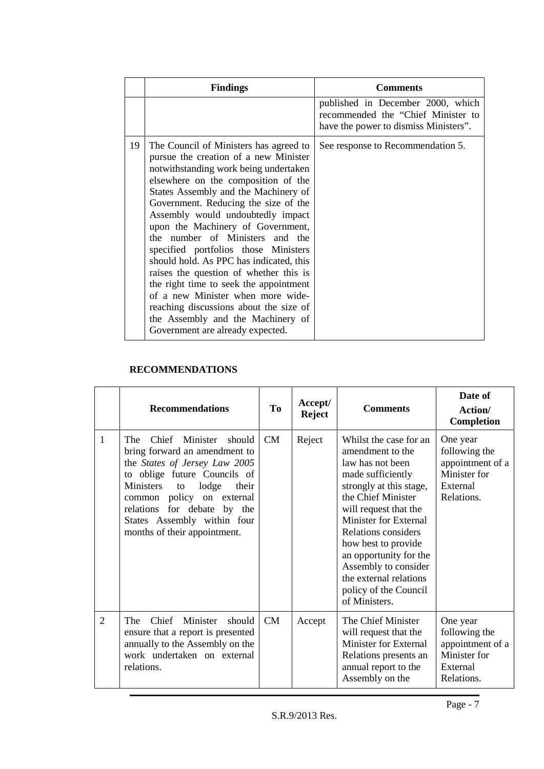|    | <b>Findings</b>                                                                                                                                                                                                                                                                                                                                                                                                                                                                                                                                                                                                                                                                             | <b>Comments</b>                                                                                                  |
|----|---------------------------------------------------------------------------------------------------------------------------------------------------------------------------------------------------------------------------------------------------------------------------------------------------------------------------------------------------------------------------------------------------------------------------------------------------------------------------------------------------------------------------------------------------------------------------------------------------------------------------------------------------------------------------------------------|------------------------------------------------------------------------------------------------------------------|
|    |                                                                                                                                                                                                                                                                                                                                                                                                                                                                                                                                                                                                                                                                                             | published in December 2000, which<br>recommended the "Chief Minister to<br>have the power to dismiss Ministers". |
| 19 | The Council of Ministers has agreed to<br>pursue the creation of a new Minister<br>notwithstanding work being undertaken<br>elsewhere on the composition of the<br>States Assembly and the Machinery of<br>Government. Reducing the size of the<br>Assembly would undoubtedly impact<br>upon the Machinery of Government,<br>the number of Ministers and the<br>specified portfolios those Ministers<br>should hold. As PPC has indicated, this<br>raises the question of whether this is<br>the right time to seek the appointment<br>of a new Minister when more wide-<br>reaching discussions about the size of<br>the Assembly and the Machinery of<br>Government are already expected. | See response to Recommendation 5.                                                                                |

### **RECOMMENDATIONS**

|                | <b>Recommendations</b>                                                                                                                                                                                                                                                                                | To | Accept/<br><b>Reject</b> | <b>Comments</b>                                                                                                                                                                                                                                                                                                                                                   | Date of<br>Action/<br><b>Completion</b>                                                 |
|----------------|-------------------------------------------------------------------------------------------------------------------------------------------------------------------------------------------------------------------------------------------------------------------------------------------------------|----|--------------------------|-------------------------------------------------------------------------------------------------------------------------------------------------------------------------------------------------------------------------------------------------------------------------------------------------------------------------------------------------------------------|-----------------------------------------------------------------------------------------|
| $\mathbf{1}$   | Chief Minister should<br><b>The</b><br>bring forward an amendment to<br>the States of Jersey Law 2005<br>to oblige future Councils of<br>Ministers<br>lodge<br>to<br>their<br>common policy on external<br>relations for debate by the<br>States Assembly within four<br>months of their appointment. | CM | Reject                   | Whilst the case for an<br>amendment to the<br>law has not been<br>made sufficiently<br>strongly at this stage,<br>the Chief Minister<br>will request that the<br><b>Minister for External</b><br>Relations considers<br>how best to provide<br>an opportunity for the<br>Assembly to consider<br>the external relations<br>policy of the Council<br>of Ministers. | One year<br>following the<br>appointment of a<br>Minister for<br>External<br>Relations. |
| $\overline{2}$ | Minister<br>Chief<br>The<br>should<br>ensure that a report is presented<br>annually to the Assembly on the<br>work undertaken on external<br>relations.                                                                                                                                               | CM | Accept                   | The Chief Minister<br>will request that the<br><b>Minister for External</b><br>Relations presents an<br>annual report to the<br>Assembly on the                                                                                                                                                                                                                   | One year<br>following the<br>appointment of a<br>Minister for<br>External<br>Relations. |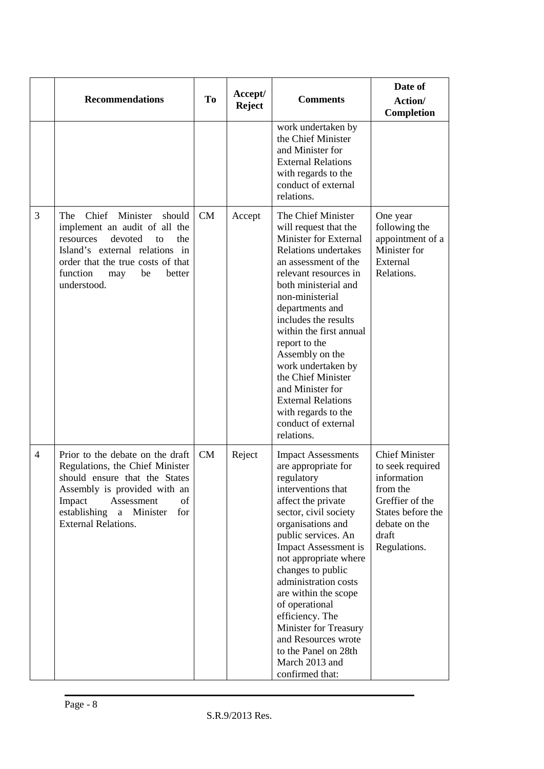|                | <b>Recommendations</b>                                                                                                                                                                                                                | To | Accept/<br><b>Reject</b> | <b>Comments</b>                                                                                                                                                                                                                                                                                                                                                                                                                                                    | Date of<br>Action/<br>Completion                                                                                                                       |
|----------------|---------------------------------------------------------------------------------------------------------------------------------------------------------------------------------------------------------------------------------------|----|--------------------------|--------------------------------------------------------------------------------------------------------------------------------------------------------------------------------------------------------------------------------------------------------------------------------------------------------------------------------------------------------------------------------------------------------------------------------------------------------------------|--------------------------------------------------------------------------------------------------------------------------------------------------------|
|                |                                                                                                                                                                                                                                       |    |                          | work undertaken by<br>the Chief Minister<br>and Minister for<br><b>External Relations</b><br>with regards to the<br>conduct of external<br>relations.                                                                                                                                                                                                                                                                                                              |                                                                                                                                                        |
| 3              | Chief Minister<br>The<br>should<br>implement an audit of all the<br>devoted<br>resources<br>to<br>the<br>Island's external relations in<br>order that the true costs of that<br>function<br>be<br>better<br>may<br>understood.        | CM | Accept                   | The Chief Minister<br>will request that the<br>Minister for External<br><b>Relations undertakes</b><br>an assessment of the<br>relevant resources in<br>both ministerial and<br>non-ministerial<br>departments and<br>includes the results<br>within the first annual<br>report to the<br>Assembly on the<br>work undertaken by<br>the Chief Minister<br>and Minister for<br><b>External Relations</b><br>with regards to the<br>conduct of external<br>relations. | One year<br>following the<br>appointment of a<br>Minister for<br>External<br>Relations.                                                                |
| $\overline{4}$ | Prior to the debate on the draft<br>Regulations, the Chief Minister<br>should ensure that the States<br>Assembly is provided with an<br>Assessment<br>of<br>Impact<br>establishing<br>a Minister<br>for<br><b>External Relations.</b> | CM | Reject                   | <b>Impact Assessments</b><br>are appropriate for<br>regulatory<br>interventions that<br>affect the private<br>sector, civil society<br>organisations and<br>public services. An<br><b>Impact Assessment is</b><br>not appropriate where<br>changes to public<br>administration costs<br>are within the scope<br>of operational<br>efficiency. The<br>Minister for Treasury<br>and Resources wrote<br>to the Panel on 28th<br>March 2013 and<br>confirmed that:     | <b>Chief Minister</b><br>to seek required<br>information<br>from the<br>Greffier of the<br>States before the<br>debate on the<br>draft<br>Regulations. |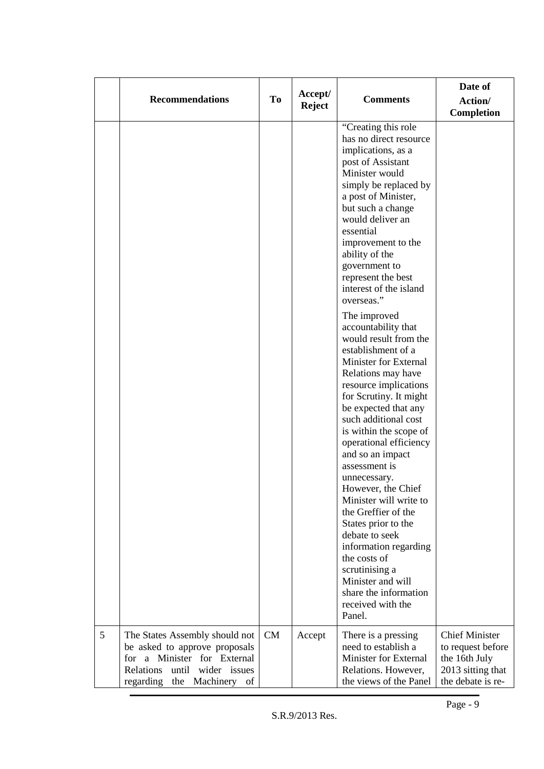|   | <b>Recommendations</b>                                                                                                                                                | <b>To</b> | Accept/<br><b>Reject</b> | <b>Comments</b>                                                                                                                                                                                                                                                                                                                                                                                                                                                                                                                                                                                                                                                                                                                                                                                                                                                                                                                                   | Date of<br>Action/<br>Completion                                                                      |
|---|-----------------------------------------------------------------------------------------------------------------------------------------------------------------------|-----------|--------------------------|---------------------------------------------------------------------------------------------------------------------------------------------------------------------------------------------------------------------------------------------------------------------------------------------------------------------------------------------------------------------------------------------------------------------------------------------------------------------------------------------------------------------------------------------------------------------------------------------------------------------------------------------------------------------------------------------------------------------------------------------------------------------------------------------------------------------------------------------------------------------------------------------------------------------------------------------------|-------------------------------------------------------------------------------------------------------|
|   |                                                                                                                                                                       |           |                          | "Creating this role"<br>has no direct resource<br>implications, as a<br>post of Assistant<br>Minister would<br>simply be replaced by<br>a post of Minister,<br>but such a change<br>would deliver an<br>essential<br>improvement to the<br>ability of the<br>government to<br>represent the best<br>interest of the island<br>overseas."<br>The improved<br>accountability that<br>would result from the<br>establishment of a<br>Minister for External<br>Relations may have<br>resource implications<br>for Scrutiny. It might<br>be expected that any<br>such additional cost<br>is within the scope of<br>operational efficiency<br>and so an impact<br>assessment is<br>unnecessary.<br>However, the Chief<br>Minister will write to<br>the Greffier of the<br>States prior to the<br>debate to seek<br>information regarding<br>the costs of<br>scrutinising a<br>Minister and will<br>share the information<br>received with the<br>Panel. |                                                                                                       |
| 5 | The States Assembly should not<br>be asked to approve proposals<br>for a Minister for External<br>until wider issues<br>Relations<br>the Machinery<br>regarding<br>of | <b>CM</b> | Accept                   | There is a pressing<br>need to establish a<br>Minister for External<br>Relations. However,<br>the views of the Panel                                                                                                                                                                                                                                                                                                                                                                                                                                                                                                                                                                                                                                                                                                                                                                                                                              | <b>Chief Minister</b><br>to request before<br>the 16th July<br>2013 sitting that<br>the debate is re- |